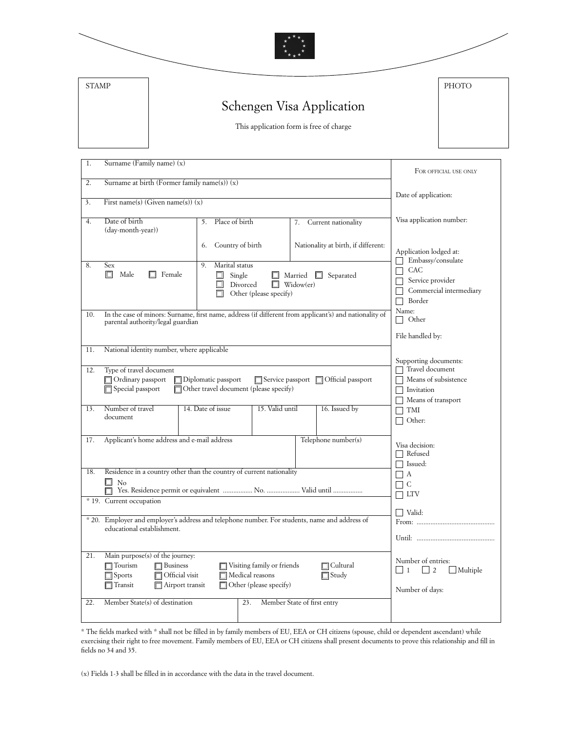| <b>STAMP</b> |                                                                                                                                                                                                                                    | PHOTO                                                                                                                        |
|--------------|------------------------------------------------------------------------------------------------------------------------------------------------------------------------------------------------------------------------------------|------------------------------------------------------------------------------------------------------------------------------|
|              | Schengen Visa Application                                                                                                                                                                                                          |                                                                                                                              |
|              | This application form is free of charge                                                                                                                                                                                            |                                                                                                                              |
|              |                                                                                                                                                                                                                                    |                                                                                                                              |
| 1.           | Surname (Family name) (x)                                                                                                                                                                                                          | FOR OFFICIAL USE ONLY                                                                                                        |
| 2.           | Surname at birth (Former family name(s)) $(x)$                                                                                                                                                                                     | Date of application:                                                                                                         |
| 3.           | First name(s) (Given name(s)) $(x)$                                                                                                                                                                                                |                                                                                                                              |
| 4.           | Date of birth<br>Place of birth<br>5.<br>7.<br>(day-month-year))                                                                                                                                                                   | Visa application number:<br>Current nationality                                                                              |
|              | Country of birth<br>6.                                                                                                                                                                                                             | Nationality at birth, if different:<br>Application lodged at:<br>Embassy/consulate                                           |
| 8.           | Sex<br>Marital status<br>9.<br>$\Box$<br>Male<br>$\Box$ Female<br>Single<br>Married<br>Widow(er)<br>Divorced<br>n<br>Other (please specify)                                                                                        | CAC<br>Separated<br>Service provider<br>Commercial intermediary<br>Border                                                    |
| 10.          | In the case of minors: Surname, first name, address (if different from applicant's) and nationality of<br>parental authority/legal guardian                                                                                        | Name:<br>Other<br>$\Box$<br>File handled by:                                                                                 |
| 11.          | National identity number, where applicable                                                                                                                                                                                         |                                                                                                                              |
| 12.          | Type of travel document                                                                                                                                                                                                            | Supporting documents:<br>Travel document                                                                                     |
|              | Ordinary passport<br>Diplomatic passport<br>Service passport   Official passport<br>Other travel document (please specify)<br>Special passport                                                                                     | Means of subsistence<br>Invitation<br>Means of transport                                                                     |
| 13.          | Number of travel<br>14. Date of issue<br>15. Valid until<br>document                                                                                                                                                               | 16. Issued by<br>TMI<br>Other:                                                                                               |
| 17.          | Applicant's home address and e-mail address                                                                                                                                                                                        | Telephone number(s)<br>Visa decision:<br>$\Box$ Refused                                                                      |
| 18.          | Residence in a country other than the country of current nationality<br>□<br>No                                                                                                                                                    | $\Box$ Issued:<br>$\Box$ A<br>$\Box$ C                                                                                       |
|              | * 19. Current occupation                                                                                                                                                                                                           | $\Box$ LTV                                                                                                                   |
|              | * 20. Employer and employer's address and telephone number. For students, name and address of<br>educational establishment.                                                                                                        | Valid:                                                                                                                       |
| 21.          | Main purpose(s) of the journey:<br>$\Box$ Business<br>Visiting family or friends<br>$\Box$ Tourism<br>Official visit<br>Medical reasons<br>$\blacksquare$ Sports<br>Other (please specify)<br>Airport transit<br>$\exists$ Transit | Number of entries:<br>∏ Cultural<br>$\vert$   1<br>$\overline{\phantom{0}}$ 2<br>Multiple<br>$\Box$ Study<br>Number of days: |

\* The fields marked with \* shall not be filled in by family members of EU, EEA or CH citizens (spouse, child or dependent ascendant) while exercising their right to free movement. Family members of EU, EEA or CH citizens shall present documents to prove this relationship and fill in fields no 34 and 35.

(x) Fields 1-3 shall be filled in in accordance with the data in the travel document.

22. Member State(s) of destination 23. Member State of first entry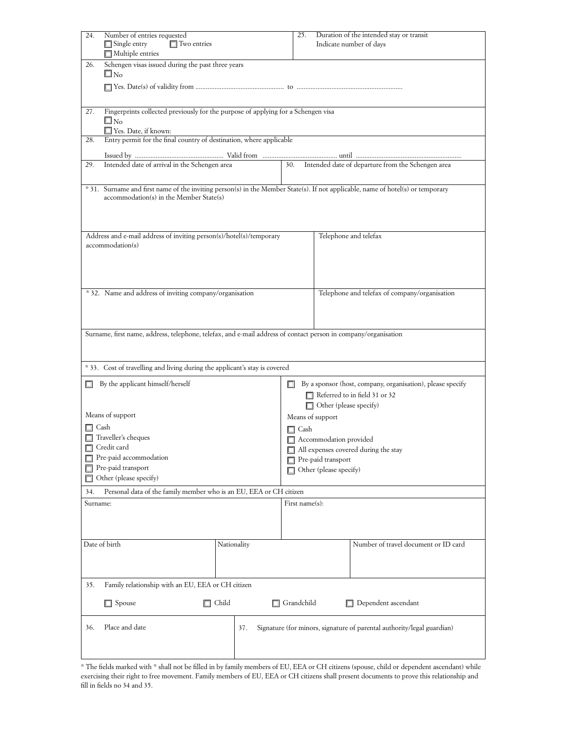| 24.      | Number of entries requested<br>$\Box$ Two entries<br>$\Box$ Single entry<br>$\Box$ Multiple entries                                                                        |                | 25.                                                            |                             | Duration of the intended stay or transit<br>Indicate number of days                         |  |
|----------|----------------------------------------------------------------------------------------------------------------------------------------------------------------------------|----------------|----------------------------------------------------------------|-----------------------------|---------------------------------------------------------------------------------------------|--|
| 26.      | Schengen visas issued during the past three years<br>$\square$ No                                                                                                          |                |                                                                |                             |                                                                                             |  |
|          |                                                                                                                                                                            |                |                                                                |                             |                                                                                             |  |
| 27.      | Fingerprints collected previously for the purpose of applying for a Schengen visa<br>$\square$ No                                                                          |                |                                                                |                             |                                                                                             |  |
| 28.      | Yes. Date, if known:<br>Entry permit for the final country of destination, where applicable                                                                                |                |                                                                |                             |                                                                                             |  |
|          |                                                                                                                                                                            |                |                                                                |                             |                                                                                             |  |
| 29.      | Intended date of arrival in the Schengen area                                                                                                                              |                | 30.                                                            |                             | Intended date of departure from the Schengen area                                           |  |
|          | * 31. Surname and first name of the inviting person(s) in the Member State(s). If not applicable, name of hotel(s) or temporary<br>accommodation(s) in the Member State(s) |                |                                                                |                             |                                                                                             |  |
|          | Address and e-mail address of inviting person(s)/hotel(s)/temporary                                                                                                        |                |                                                                |                             | Telephone and telefax                                                                       |  |
|          | accommodation(s)                                                                                                                                                           |                |                                                                |                             |                                                                                             |  |
|          | * 32. Name and address of inviting company/organisation                                                                                                                    |                |                                                                |                             | Telephone and telefax of company/organisation                                               |  |
|          | Surname, first name, address, telephone, telefax, and e-mail address of contact person in company/organisation                                                             |                |                                                                |                             |                                                                                             |  |
|          |                                                                                                                                                                            |                |                                                                |                             |                                                                                             |  |
|          | *33. Cost of travelling and living during the applicant's stay is covered                                                                                                  |                |                                                                |                             |                                                                                             |  |
|          | By the applicant himself/herself                                                                                                                                           |                |                                                                |                             |                                                                                             |  |
| □        |                                                                                                                                                                            |                |                                                                | Other (please specify)      | By a sponsor (host, company, organisation), please specify<br>Referred to in field 31 or 32 |  |
|          | Means of support                                                                                                                                                           |                | Means of support                                               |                             |                                                                                             |  |
|          | Cash<br>Traveller's cheques                                                                                                                                                |                | $\Box$ Cash                                                    |                             |                                                                                             |  |
|          | Credit card                                                                                                                                                                |                | Accommodation provided<br>All expenses covered during the stay |                             |                                                                                             |  |
|          | Pre-paid accommodation                                                                                                                                                     |                |                                                                | Pre-paid transport          |                                                                                             |  |
|          | Pre-paid transport<br>Other (please specify)                                                                                                                               |                |                                                                | Other (please specify)<br>П |                                                                                             |  |
| 34.      | Personal data of the family member who is an EU, EEA or CH citizen                                                                                                         |                |                                                                |                             |                                                                                             |  |
| Surname: |                                                                                                                                                                            | First name(s): |                                                                |                             |                                                                                             |  |
|          |                                                                                                                                                                            |                |                                                                |                             |                                                                                             |  |
|          | Date of birth                                                                                                                                                              | Nationality    |                                                                |                             | Number of travel document or ID card                                                        |  |
|          |                                                                                                                                                                            |                |                                                                |                             |                                                                                             |  |
| 35.      | Family relationship with an EU, EEA or CH citizen                                                                                                                          |                |                                                                |                             |                                                                                             |  |
|          | $\Box$ Spouse<br>□                                                                                                                                                         | Child          | $\Box$ Grandchild                                              |                             | $\Box$ Dependent ascendant                                                                  |  |
| 36.      | Place and date                                                                                                                                                             | 37.            |                                                                |                             | Signature (for minors, signature of parental authority/legal guardian)                      |  |
|          |                                                                                                                                                                            |                |                                                                |                             |                                                                                             |  |

\* The fields marked with \* shall not be filled in by family members of EU, EEA or CH citizens (spouse, child or dependent ascendant) while exercising their right to free movement. Family members of EU, EEA or CH citizens shall present documents to prove this relationship and fill in fields no 34 and 35.